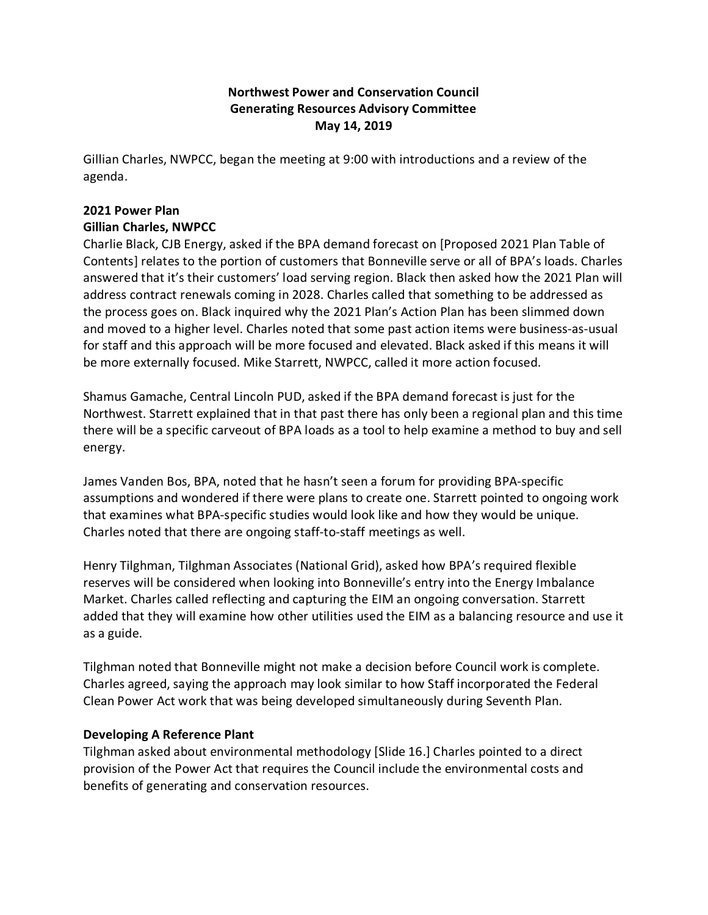# **Northwest Power and Conservation Council Generating Resources Advisory Committee May 14, 2019**

Gillian Charles, NWPCC, began the meeting at 9:00 with introductions and a review of the agenda.

# **2021 Power Plan Gillian Charles, NWPCC**

Charlie Black, CJB Energy, asked if the BPA demand forecast on [Proposed 2021 Plan Table of Contents] relates to the portion of customers that Bonneville serve or all of BPA's loads. Charles answered that it's their customers' load serving region. Black then asked how the 2021 Plan will address contract renewals coming in 2028. Charles called that something to be addressed as the process goes on. Black inquired why the 2021 Plan's Action Plan has been slimmed down and moved to a higher level. Charles noted that some past action items were business-as-usual for staff and this approach will be more focused and elevated. Black asked if this means it will be more externally focused. Mike Starrett, NWPCC, called it more action focused.

Shamus Gamache, Central Lincoln PUD, asked if the BPA demand forecast is just for the Northwest. Starrett explained that in that past there has only been a regional plan and this time there will be a specific carveout of BPA loads as a tool to help examine a method to buy and sell energy.

James Vanden Bos, BPA, noted that he hasn't seen a forum for providing BPA-specific assumptions and wondered if there were plans to create one. Starrett pointed to ongoing work that examines what BPA-specific studies would look like and how they would be unique. Charles noted that there are ongoing staff-to-staff meetings as well.

Henry Tilghman, Tilghman Associates (National Grid), asked how BPA's required flexible reserves will be considered when looking into Bonneville's entry into the Energy Imbalance Market. Charles called reflecting and capturing the EIM an ongoing conversation. Starrett added that they will examine how other utilities used the EIM as a balancing resource and use it as a guide.

Tilghman noted that Bonneville might not make a decision before Council work is complete. Charles agreed, saying the approach may look similar to how Staff incorporated the Federal Clean Power Act work that was being developed simultaneously during Seventh Plan.

## **Developing A Reference Plant**

Tilghman asked about environmental methodology [Slide 16.] Charles pointed to a direct provision of the Power Act that requires the Council include the environmental costs and benefits of generating and conservation resources.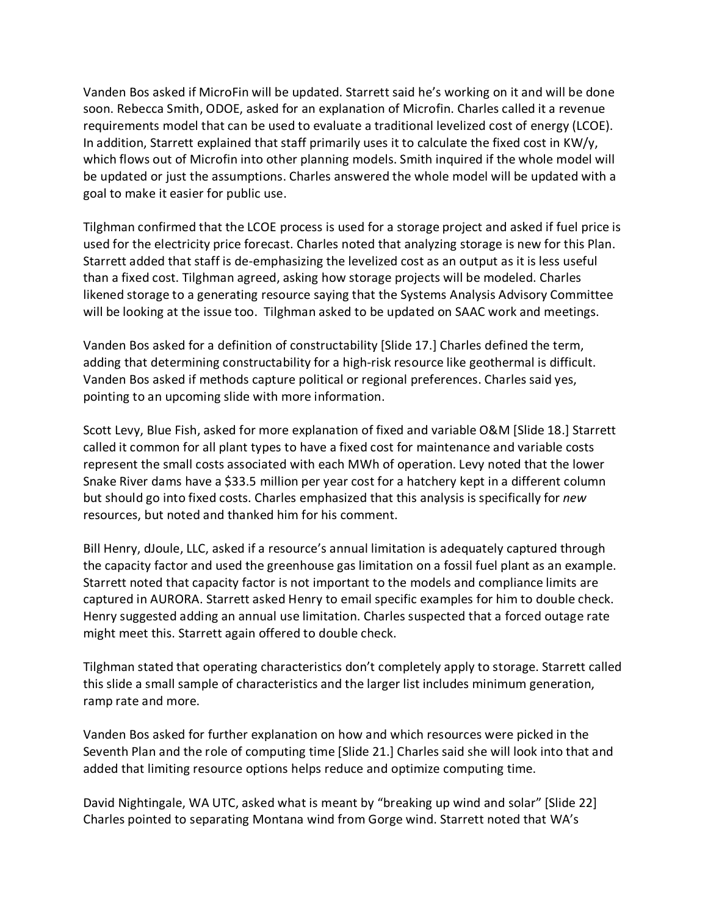Vanden Bos asked if MicroFin will be updated. Starrett said he's working on it and will be done soon. Rebecca Smith, ODOE, asked for an explanation of Microfin. Charles called it a revenue requirements model that can be used to evaluate a traditional levelized cost of energy (LCOE). In addition, Starrett explained that staff primarily uses it to calculate the fixed cost in KW/y, which flows out of Microfin into other planning models. Smith inquired if the whole model will be updated or just the assumptions. Charles answered the whole model will be updated with a goal to make it easier for public use.

Tilghman confirmed that the LCOE process is used for a storage project and asked if fuel price is used for the electricity price forecast. Charles noted that analyzing storage is new for this Plan. Starrett added that staff is de-emphasizing the levelized cost as an output as it is less useful than a fixed cost. Tilghman agreed, asking how storage projects will be modeled. Charles likened storage to a generating resource saying that the Systems Analysis Advisory Committee will be looking at the issue too. Tilghman asked to be updated on SAAC work and meetings.

Vanden Bos asked for a definition of constructability [Slide 17.] Charles defined the term, adding that determining constructability for a high-risk resource like geothermal is difficult. Vanden Bos asked if methods capture political or regional preferences. Charles said yes, pointing to an upcoming slide with more information.

Scott Levy, Blue Fish, asked for more explanation of fixed and variable O&M [Slide 18.] Starrett called it common for all plant types to have a fixed cost for maintenance and variable costs represent the small costs associated with each MWh of operation. Levy noted that the lower Snake River dams have a \$33.5 million per year cost for a hatchery kept in a different column but should go into fixed costs. Charles emphasized that this analysis is specifically for *new* resources, but noted and thanked him for his comment.

Bill Henry, dJoule, LLC, asked if a resource's annual limitation is adequately captured through the capacity factor and used the greenhouse gas limitation on a fossil fuel plant as an example. Starrett noted that capacity factor is not important to the models and compliance limits are captured in AURORA. Starrett asked Henry to email specific examples for him to double check. Henry suggested adding an annual use limitation. Charles suspected that a forced outage rate might meet this. Starrett again offered to double check.

Tilghman stated that operating characteristics don't completely apply to storage. Starrett called this slide a small sample of characteristics and the larger list includes minimum generation, ramp rate and more.

Vanden Bos asked for further explanation on how and which resources were picked in the Seventh Plan and the role of computing time [Slide 21.] Charles said she will look into that and added that limiting resource options helps reduce and optimize computing time.

David Nightingale, WA UTC, asked what is meant by "breaking up wind and solar" [Slide 22] Charles pointed to separating Montana wind from Gorge wind. Starrett noted that WA's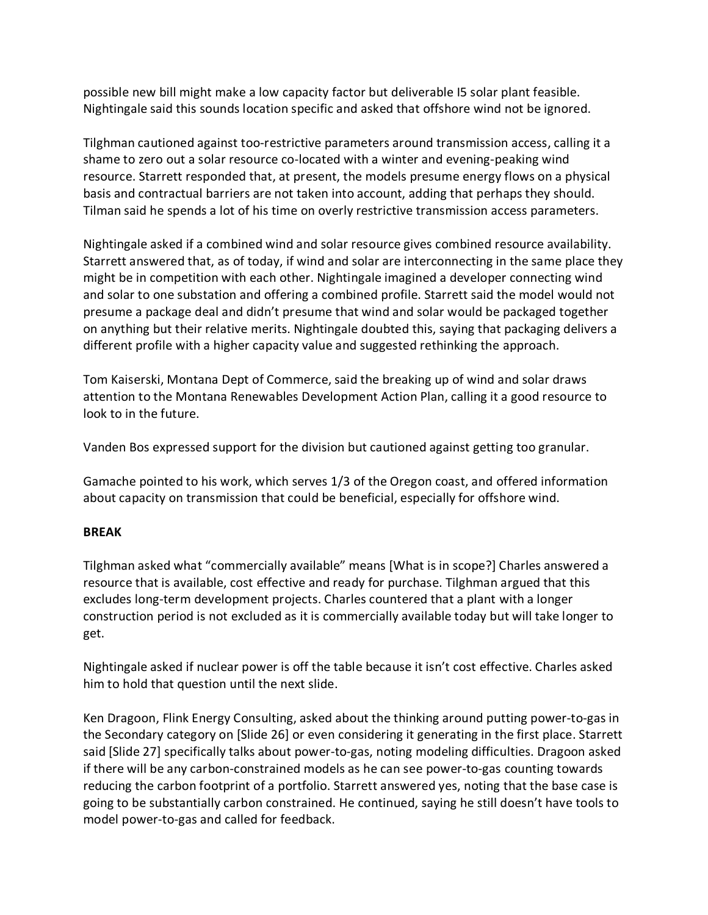possible new bill might make a low capacity factor but deliverable I5 solar plant feasible. Nightingale said this sounds location specific and asked that offshore wind not be ignored.

Tilghman cautioned against too-restrictive parameters around transmission access, calling it a shame to zero out a solar resource co-located with a winter and evening-peaking wind resource. Starrett responded that, at present, the models presume energy flows on a physical basis and contractual barriers are not taken into account, adding that perhaps they should. Tilman said he spends a lot of his time on overly restrictive transmission access parameters.

Nightingale asked if a combined wind and solar resource gives combined resource availability. Starrett answered that, as of today, if wind and solar are interconnecting in the same place they might be in competition with each other. Nightingale imagined a developer connecting wind and solar to one substation and offering a combined profile. Starrett said the model would not presume a package deal and didn't presume that wind and solar would be packaged together on anything but their relative merits. Nightingale doubted this, saying that packaging delivers a different profile with a higher capacity value and suggested rethinking the approach.

Tom Kaiserski, Montana Dept of Commerce, said the breaking up of wind and solar draws attention to the Montana Renewables Development Action Plan, calling it a good resource to look to in the future.

Vanden Bos expressed support for the division but cautioned against getting too granular.

Gamache pointed to his work, which serves 1/3 of the Oregon coast, and offered information about capacity on transmission that could be beneficial, especially for offshore wind.

## **BREAK**

Tilghman asked what "commercially available" means [What is in scope?] Charles answered a resource that is available, cost effective and ready for purchase. Tilghman argued that this excludes long-term development projects. Charles countered that a plant with a longer construction period is not excluded as it is commercially available today but will take longer to get.

Nightingale asked if nuclear power is off the table because it isn't cost effective. Charles asked him to hold that question until the next slide.

Ken Dragoon, Flink Energy Consulting, asked about the thinking around putting power-to-gas in the Secondary category on [Slide 26] or even considering it generating in the first place. Starrett said [Slide 27] specifically talks about power-to-gas, noting modeling difficulties. Dragoon asked if there will be any carbon-constrained models as he can see power-to-gas counting towards reducing the carbon footprint of a portfolio. Starrett answered yes, noting that the base case is going to be substantially carbon constrained. He continued, saying he still doesn't have tools to model power-to-gas and called for feedback.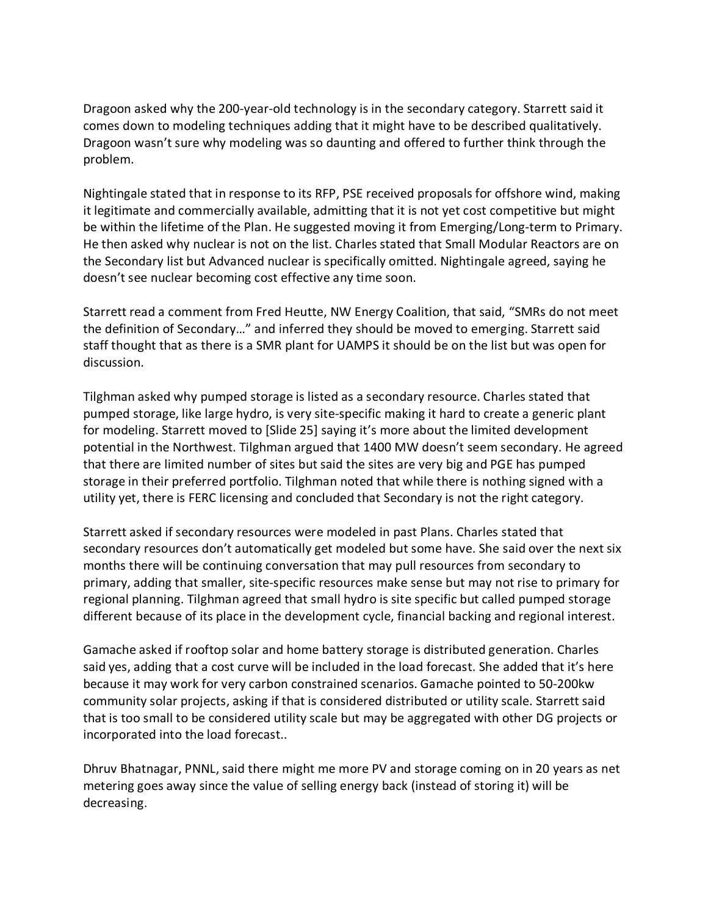Dragoon asked why the 200-year-old technology is in the secondary category. Starrett said it comes down to modeling techniques adding that it might have to be described qualitatively. Dragoon wasn't sure why modeling was so daunting and offered to further think through the problem.

Nightingale stated that in response to its RFP, PSE received proposals for offshore wind, making it legitimate and commercially available, admitting that it is not yet cost competitive but might be within the lifetime of the Plan. He suggested moving it from Emerging/Long-term to Primary. He then asked why nuclear is not on the list. Charles stated that Small Modular Reactors are on the Secondary list but Advanced nuclear is specifically omitted. Nightingale agreed, saying he doesn't see nuclear becoming cost effective any time soon.

Starrett read a comment from Fred Heutte, NW Energy Coalition, that said, "SMRs do not meet the definition of Secondary…" and inferred they should be moved to emerging. Starrett said staff thought that as there is a SMR plant for UAMPS it should be on the list but was open for discussion.

Tilghman asked why pumped storage is listed as a secondary resource. Charles stated that pumped storage, like large hydro, is very site-specific making it hard to create a generic plant for modeling. Starrett moved to [Slide 25] saying it's more about the limited development potential in the Northwest. Tilghman argued that 1400 MW doesn't seem secondary. He agreed that there are limited number of sites but said the sites are very big and PGE has pumped storage in their preferred portfolio. Tilghman noted that while there is nothing signed with a utility yet, there is FERC licensing and concluded that Secondary is not the right category.

Starrett asked if secondary resources were modeled in past Plans. Charles stated that secondary resources don't automatically get modeled but some have. She said over the next six months there will be continuing conversation that may pull resources from secondary to primary, adding that smaller, site-specific resources make sense but may not rise to primary for regional planning. Tilghman agreed that small hydro is site specific but called pumped storage different because of its place in the development cycle, financial backing and regional interest.

Gamache asked if rooftop solar and home battery storage is distributed generation. Charles said yes, adding that a cost curve will be included in the load forecast. She added that it's here because it may work for very carbon constrained scenarios. Gamache pointed to 50-200kw community solar projects, asking if that is considered distributed or utility scale. Starrett said that is too small to be considered utility scale but may be aggregated with other DG projects or incorporated into the load forecast..

Dhruv Bhatnagar, PNNL, said there might me more PV and storage coming on in 20 years as net metering goes away since the value of selling energy back (instead of storing it) will be decreasing.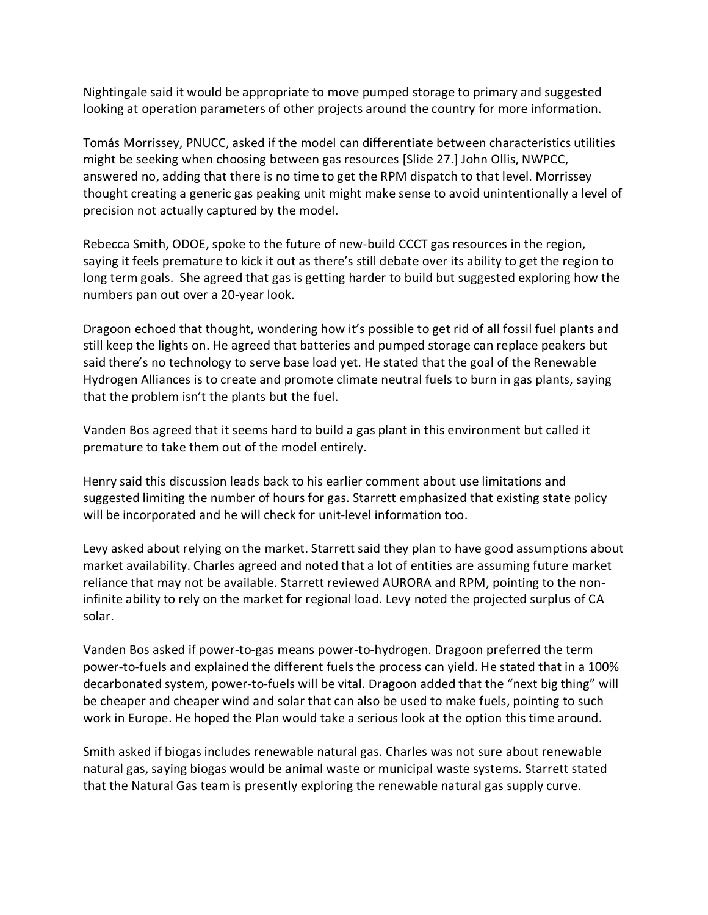Nightingale said it would be appropriate to move pumped storage to primary and suggested looking at operation parameters of other projects around the country for more information.

Tomás Morrissey, PNUCC, asked if the model can differentiate between characteristics utilities might be seeking when choosing between gas resources [Slide 27.] John Ollis, NWPCC, answered no, adding that there is no time to get the RPM dispatch to that level. Morrissey thought creating a generic gas peaking unit might make sense to avoid unintentionally a level of precision not actually captured by the model.

Rebecca Smith, ODOE, spoke to the future of new-build CCCT gas resources in the region, saying it feels premature to kick it out as there's still debate over its ability to get the region to long term goals. She agreed that gas is getting harder to build but suggested exploring how the numbers pan out over a 20-year look.

Dragoon echoed that thought, wondering how it's possible to get rid of all fossil fuel plants and still keep the lights on. He agreed that batteries and pumped storage can replace peakers but said there's no technology to serve base load yet. He stated that the goal of the Renewable Hydrogen Alliances is to create and promote climate neutral fuels to burn in gas plants, saying that the problem isn't the plants but the fuel.

Vanden Bos agreed that it seems hard to build a gas plant in this environment but called it premature to take them out of the model entirely.

Henry said this discussion leads back to his earlier comment about use limitations and suggested limiting the number of hours for gas. Starrett emphasized that existing state policy will be incorporated and he will check for unit-level information too.

Levy asked about relying on the market. Starrett said they plan to have good assumptions about market availability. Charles agreed and noted that a lot of entities are assuming future market reliance that may not be available. Starrett reviewed AURORA and RPM, pointing to the noninfinite ability to rely on the market for regional load. Levy noted the projected surplus of CA solar.

Vanden Bos asked if power-to-gas means power-to-hydrogen. Dragoon preferred the term power-to-fuels and explained the different fuels the process can yield. He stated that in a 100% decarbonated system, power-to-fuels will be vital. Dragoon added that the "next big thing" will be cheaper and cheaper wind and solar that can also be used to make fuels, pointing to such work in Europe. He hoped the Plan would take a serious look at the option this time around.

Smith asked if biogas includes renewable natural gas. Charles was not sure about renewable natural gas, saying biogas would be animal waste or municipal waste systems. Starrett stated that the Natural Gas team is presently exploring the renewable natural gas supply curve.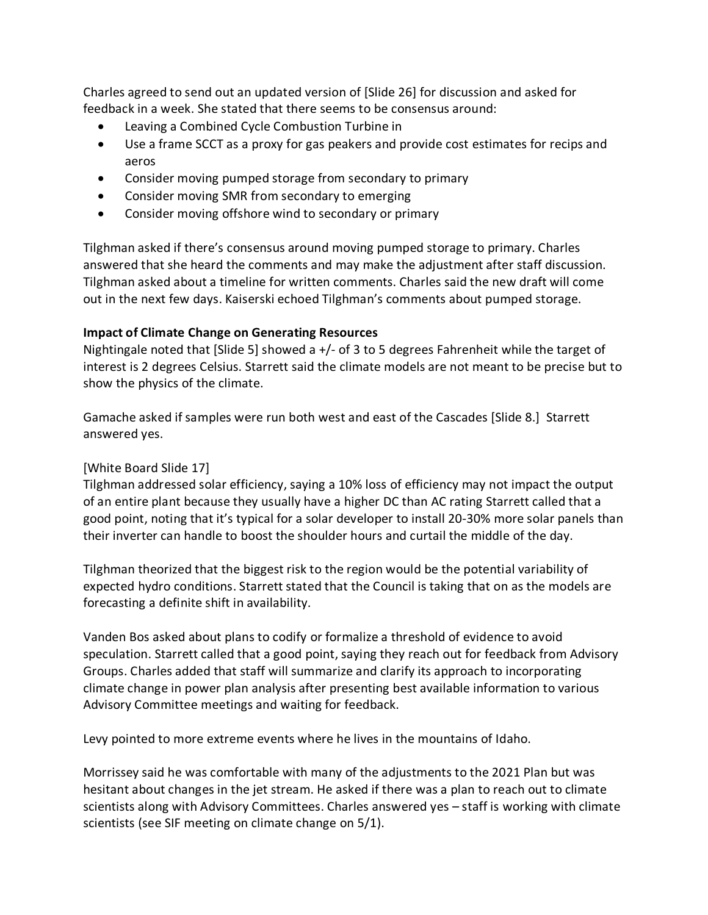Charles agreed to send out an updated version of [Slide 26] for discussion and asked for feedback in a week. She stated that there seems to be consensus around:

- Leaving a Combined Cycle Combustion Turbine in
- Use a frame SCCT as a proxy for gas peakers and provide cost estimates for recips and aeros
- Consider moving pumped storage from secondary to primary
- Consider moving SMR from secondary to emerging
- Consider moving offshore wind to secondary or primary

Tilghman asked if there's consensus around moving pumped storage to primary. Charles answered that she heard the comments and may make the adjustment after staff discussion. Tilghman asked about a timeline for written comments. Charles said the new draft will come out in the next few days. Kaiserski echoed Tilghman's comments about pumped storage.

### **Impact of Climate Change on Generating Resources**

Nightingale noted that [Slide 5] showed a +/- of 3 to 5 degrees Fahrenheit while the target of interest is 2 degrees Celsius. Starrett said the climate models are not meant to be precise but to show the physics of the climate.

Gamache asked if samples were run both west and east of the Cascades [Slide 8.] Starrett answered yes.

## [White Board Slide 17]

Tilghman addressed solar efficiency, saying a 10% loss of efficiency may not impact the output of an entire plant because they usually have a higher DC than AC rating Starrett called that a good point, noting that it's typical for a solar developer to install 20-30% more solar panels than their inverter can handle to boost the shoulder hours and curtail the middle of the day.

Tilghman theorized that the biggest risk to the region would be the potential variability of expected hydro conditions. Starrett stated that the Council is taking that on as the models are forecasting a definite shift in availability.

Vanden Bos asked about plans to codify or formalize a threshold of evidence to avoid speculation. Starrett called that a good point, saying they reach out for feedback from Advisory Groups. Charles added that staff will summarize and clarify its approach to incorporating climate change in power plan analysis after presenting best available information to various Advisory Committee meetings and waiting for feedback.

Levy pointed to more extreme events where he lives in the mountains of Idaho.

Morrissey said he was comfortable with many of the adjustments to the 2021 Plan but was hesitant about changes in the jet stream. He asked if there was a plan to reach out to climate scientists along with Advisory Committees. Charles answered yes – staff is working with climate scientists (see SIF meeting on climate change on 5/1).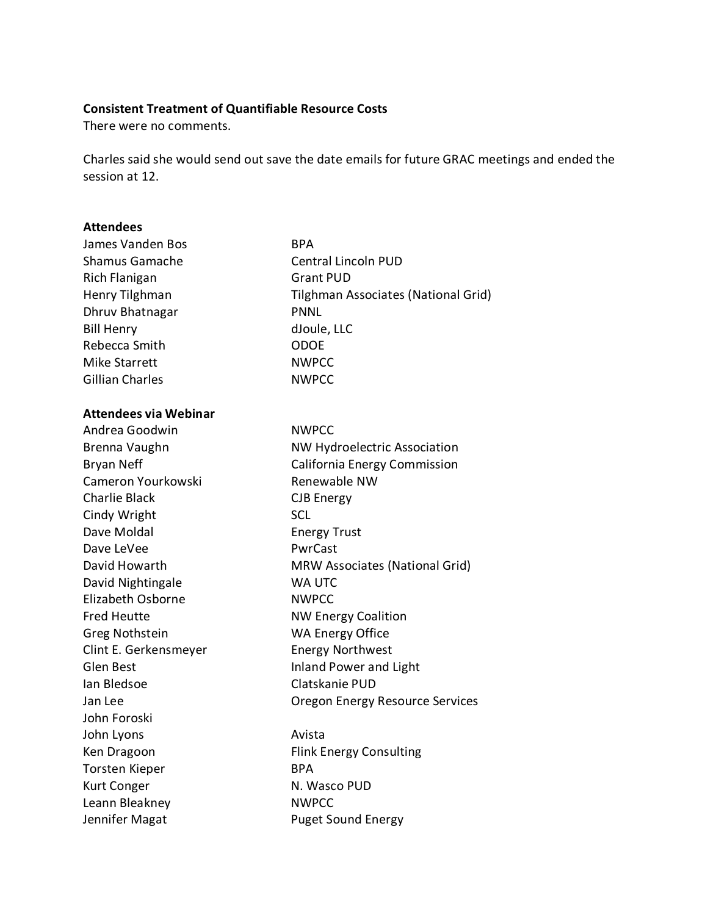### **Consistent Treatment of Quantifiable Resource Costs**

There were no comments.

Charles said she would send out save the date emails for future GRAC meetings and ended the session at 12.

#### **Attendees**

| <b>James Vanden Bos</b>      | <b>BPA</b>                            |
|------------------------------|---------------------------------------|
| <b>Shamus Gamache</b>        | <b>Central Lincoln PUD</b>            |
| <b>Rich Flanigan</b>         | <b>Grant PUD</b>                      |
| Henry Tilghman               | Tilghman Associates (National Grid)   |
| Dhruv Bhatnagar              | <b>PNNL</b>                           |
| <b>Bill Henry</b>            | dJoule, LLC                           |
| Rebecca Smith                | <b>ODOE</b>                           |
| <b>Mike Starrett</b>         | <b>NWPCC</b>                          |
| <b>Gillian Charles</b>       | <b>NWPCC</b>                          |
| <b>Attendees via Webinar</b> |                                       |
| Andrea Goodwin               | <b>NWPCC</b>                          |
| Brenna Vaughn                | <b>NW Hydroelectric Association</b>   |
| <b>Bryan Neff</b>            | California Energy Commission          |
| Cameron Yourkowski           | Renewable NW                          |
| <b>Charlie Black</b>         | <b>CJB Energy</b>                     |
| Cindy Wright                 | <b>SCL</b>                            |
| Dave Moldal                  | <b>Energy Trust</b>                   |
| Dave LeVee                   | PwrCast                               |
| David Howarth                | <b>MRW Associates (National Grid)</b> |
| David Nightingale            | WA UTC                                |
| Elizabeth Osborne            | <b>NWPCC</b>                          |
| <b>Fred Heutte</b>           | <b>NW Energy Coalition</b>            |
| <b>Greg Nothstein</b>        | <b>WA Energy Office</b>               |
| Clint E. Gerkensmeyer        | <b>Energy Northwest</b>               |
| <b>Glen Best</b>             | <b>Inland Power and Light</b>         |
| lan Bledsoe                  | Clatskanie PUD                        |
| Jan Lee                      | Oregon Energy Resource Services       |
| John Foroski                 |                                       |
| John Lyons                   | Avista                                |
| Ken Dragoon                  | <b>Flink Energy Consulting</b>        |
| <b>Torsten Kieper</b>        | <b>BPA</b>                            |
| Kurt Conger                  | N. Wasco PUD                          |
| Leann Bleakney               | <b>NWPCC</b>                          |
| Jennifer Magat               | <b>Puget Sound Energy</b>             |
|                              |                                       |